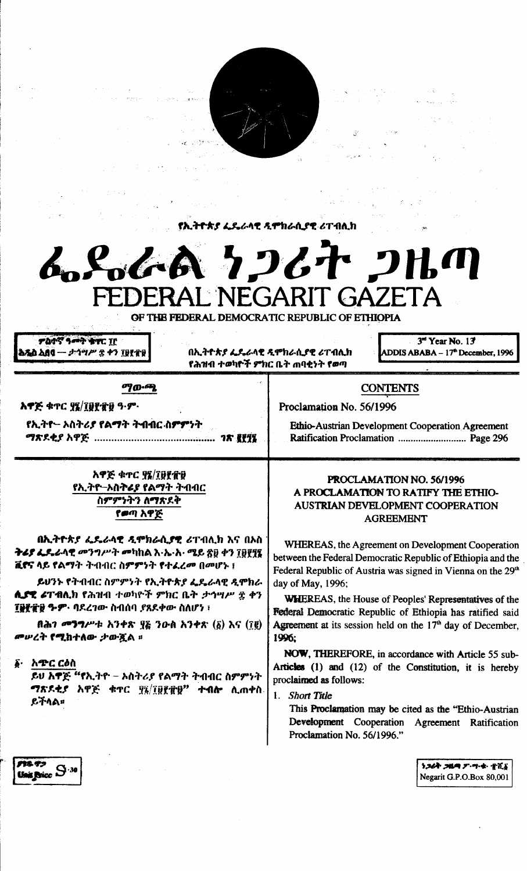**የኢትዮጵያ ፌዴራላዊ ዲሞክራሲያዊ ሪፐብሊክ** 



OF THE FEDERAL DEMOCRATIC REPUBLIC OF ETHIOPIA

**ምስተኛ ዓመት ቁተር TF** አጼስ አበባ — ታኅሣሥ ድ ቀን ፲፱፻፹፱

በኢትዮጵያ ፌዴራላዊ ዲሞክራሲያዊ ሪፐብሊክ የሕዝብ ተወካዮች ምክር ቤት <sub>መ</sub>ባቂነት የወጣ

3rd Year No. 13 ADDIS ABABA - 17<sup>th</sup> December, 1996

## ማውጫ

አዋጅ ቁጥር ያሄ/፲፱፻፹፱ ዓ·ም·

የኢትዮ– ኦስትሪያ የልማት ትብብር ስ**ም**ምነት

አዋጅ ቁተር ያ፤/፲፱፻፹፱ የኢትዮ–ኦስትሬያ የልማት ትብብር ስምምንትን ለማጽደቅ የወጣ አዋጅ

**በኢትዮጵያ ፌዴራሳዊ ዲሞክራሲያዊ** ሪፐብሊክ እና በኦስ ትሬያ ፌዴራላዊ መንግሥት መካከል እ·ኤ·አ· ሚይ ጽ፱ ቀን ገፀየየ፤ ቪኖና ላይ የልማት ትብብር ስምምነት የተፈረመ በመሆኑ ፤

ይህንኑ የትብብር ስምምንት የኢትዮጵያ ፌዴራላዊ ዲሞክራ ሊያዊ ሪፐብሊክ የሕዝብ ተወካዮች ምክር ቤት *ታኅሣሥ ፰ ቀን* **ፐፀቺ ተገ ም የተገ**በደረገው ስብሰባ ያጸደቀው ስለሆነ ፣

በሕገ መንግሥቱ አንቀጽ ፶፩ ንዑስ አንቀጽ (፩) እና (፲፪) *መሠረት የሚከተለው ታውጇል* ፡፡

፩· አጭር ርዕስ

ይህ እዋጅ "የኢትዮ – አስትሪያ የልማት ትብብር ስምምነት ማጽዶቲያ አዋጅ ቁጥር ፶፯/፲፱፻፹፱" ተብሎ ሲጠቀስ ይችላል።

## **CONTENTS**

Proclamation No. 56/1996

Ethio-Austrian Development Cooperation Agreement Ratification Proclamation ............................... Page 296

## PROCLAMATION NO. 56/1996 A PROCLAMATION TO RATIFY THE ETHIO-AUSTRIAN DEVELOPMENT COOPERATION **AGREEMENT**

WHEREAS, the Agreement on Development Cooperation between the Federal Democratic Republic of Ethiopia and the Federal Republic of Austria was signed in Vienna on the 29<sup>th</sup> day of May, 1996;

**WHEREAS**, the House of Peoples' Representatives of the Federal Democratic Republic of Ethiopia has ratified said Agreement at its session held on the  $17<sup>th</sup>$  day of December, 1996:

NOW, THEREFORE, in accordance with Article 55 sub-Articles (1) and (12) of the Constitution, it is hereby proclaimed as follows:

1. Short Title

This Proclamation may be cited as the "Ethio-Austrian" Development Cooperation Agreement Ratification Proclamation No. 56/1996."

> ነጋሪት ጋዜጣ ፖ።ግ።ቁ። ተሺና Negarit G.P.O.Box 80,001